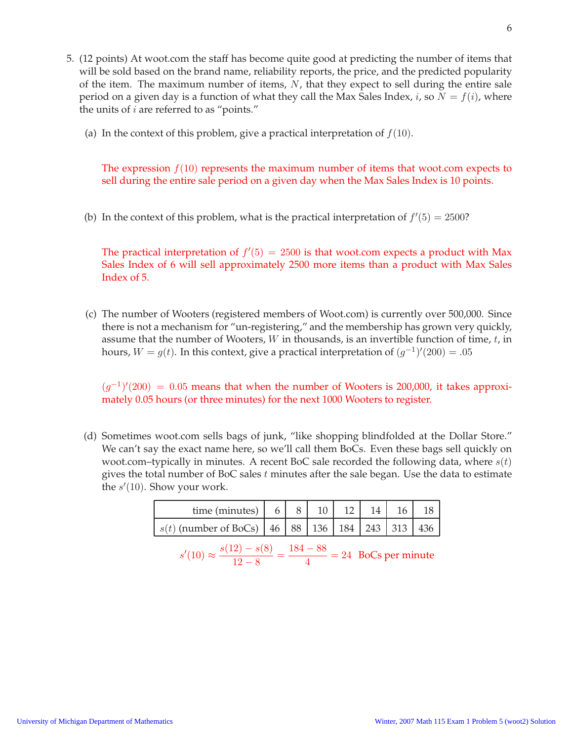- 5. (12 points) At woot.com the staff has become quite good at predicting the number of items that will be sold based on the brand name, reliability reports, the price, and the predicted popularity of the item. The maximum number of items,  $N$ , that they expect to sell during the entire sale period on a given day is a function of what they call the Max Sales Index, *i*, so  $N = f(i)$ , where the units of  $i$  are referred to as "points."
	- (a) In the context of this problem, give a practical interpretation of  $f(10)$ .

The expression  $f(10)$  represents the maximum number of items that woot.com expects to sell during the entire sale period on a given day when the Max Sales Index is 10 points.

(b) In the context of this problem, what is the practical interpretation of  $f'(5) = 2500$ ?

The practical interpretation of  $f'(5) = 2500$  is that woot.com expects a product with Max Sales Index of 6 will sell approximately 2500 more items than a product with Max Sales Index of 5.

(c) The number of Wooters (registered members of Woot.com) is currently over 500,000. Since there is not a mechanism for "un-registering," and the membership has grown very quickly, assume that the number of Wooters,  $W$  in thousands, is an invertible function of time,  $t$ , in hours,  $W = g(t)$ . In this context, give a practical interpretation of  $(g^{-1})'(200) = .05$ 

 $(g^{-1})'(200) = 0.05$  means that when the number of Wooters is 200,000, it takes approximately 0.05 hours (or three minutes) for the next 1000 Wooters to register.

(d) Sometimes woot.com sells bags of junk, "like shopping blindfolded at the Dollar Store." We can't say the exact name here, so we'll call them BoCs. Even these bags sell quickly on woot.com–typically in minutes. A recent BoC sale recorded the following data, where  $s(t)$ gives the total number of BoC sales  $t$  minutes after the sale began. Use the data to estimate the  $s'(10)$ . Show your work.

| time (minutes)                                                  |  |  |  |  |
|-----------------------------------------------------------------|--|--|--|--|
| $s(t)$ (number of BoCs)   46   88   136   184   243   313   436 |  |  |  |  |

$$
s'(10) \approx \frac{s(12) - s(8)}{12 - 8} = \frac{184 - 88}{4} = 24
$$
 BoCs per minute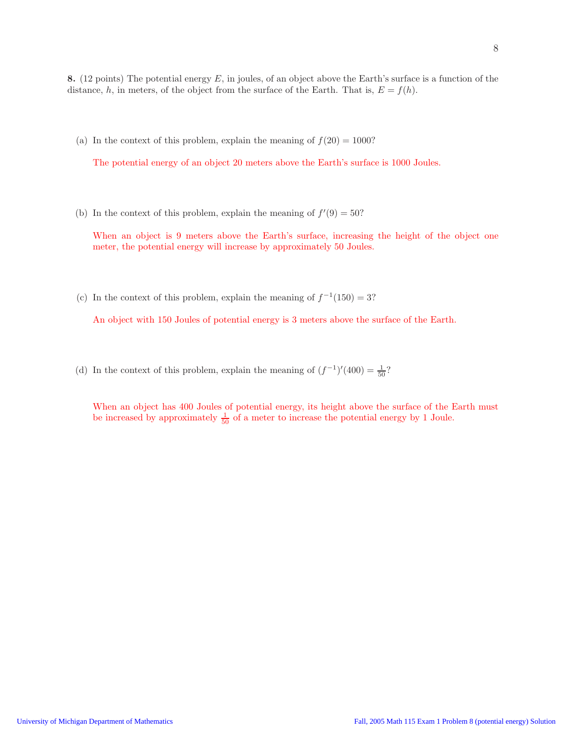(a) In the context of this problem, explain the meaning of  $f(20) = 1000$ ?

The potential energy of an object 20 meters above the Earth's surface is 1000 Joules.

(b) In the context of this problem, explain the meaning of  $f'(9) = 50$ ?

When an object is 9 meters above the Earth's surface, increasing the height of the object one meter, the potential energy will increase by approximately 50 Joules.

(c) In the context of this problem, explain the meaning of  $f^{-1}(150) = 3$ ?

An object with 150 Joules of potential energy is 3 meters above the surface of the Earth.

(d) In the context of this problem, explain the meaning of  $(f^{-1})'(400) = \frac{1}{50}$ ?

When an object has 400 Joules of potential energy, its height above the surface of the Earth must be increased by approximately  $\frac{1}{50}$  of a meter to increase the potential energy by 1 Joule.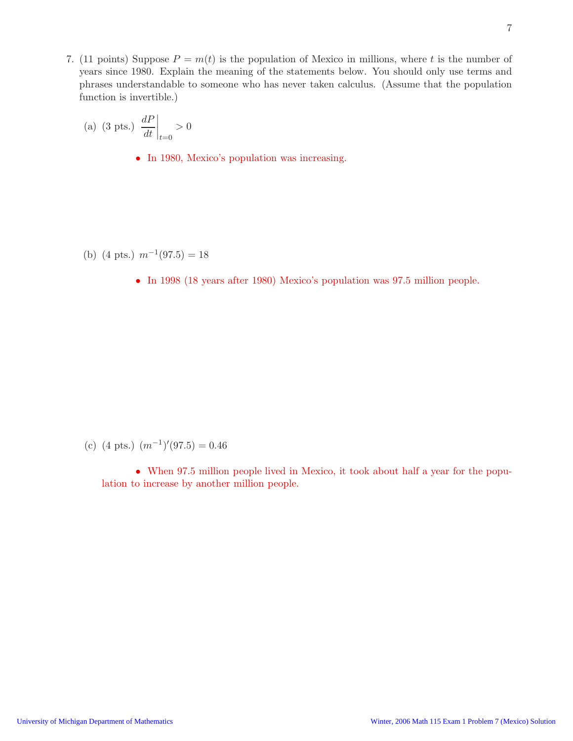7. (11 points) Suppose  $P = m(t)$  is the population of Mexico in millions, where t is the number of years since 1980. Explain the meaning of the statements below. You should only use terms and phrases understandable to someone who has never taken calculus. (Assume that the population function is invertible.)

(a) (3 pts.) 
$$
\left. \frac{dP}{dt} \right|_{t=0} > 0
$$

• In 1980, Mexico's population was increasing.

- (b)  $(4 \text{ pts.}) \text{ m}^{-1}(97.5) = 18$ 
	- In 1998 (18 years after 1980) Mexico's population was 97.5 million people.

(c)  $(4 \text{ pts.})$   $(m^{-1})'(97.5) = 0.46$ 

• When 97.5 million people lived in Mexico, it took about half a year for the population to increase by another million people.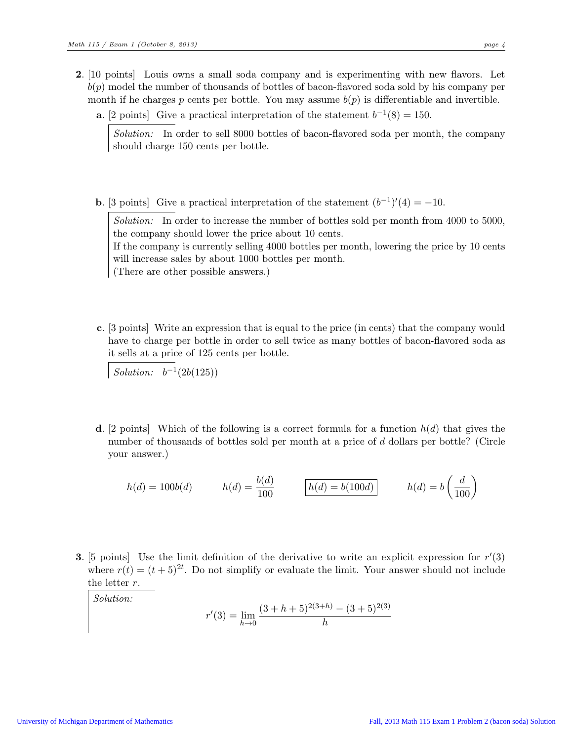- 2. [10 points] Louis owns a small soda company and is experimenting with new flavors. Let  $b(p)$  model the number of thousands of bottles of bacon-flavored soda sold by his company per month if he charges p cents per bottle. You may assume  $b(p)$  is differentiable and invertible.
	- **a.** [2 points] Give a practical interpretation of the statement  $b^{-1}(8) = 150$ .

Solution: In order to sell 8000 bottles of bacon-flavored soda per month, the company should charge 150 cents per bottle.

**b.** [3 points] Give a practical interpretation of the statement  $(b^{-1})'(4) = -10$ .

Solution: In order to increase the number of bottles sold per month from 4000 to 5000, the company should lower the price about 10 cents.

If the company is currently selling 4000 bottles per month, lowering the price by 10 cents will increase sales by about 1000 bottles per month.

(There are other possible answers.)

c. [3 points] Write an expression that is equal to the price (in cents) that the company would have to charge per bottle in order to sell twice as many bottles of bacon-flavored soda as it sells at a price of 125 cents per bottle.

Solution:  $b^{-1}(2b(125))$ 

**d.** [2 points] Which of the following is a correct formula for a function  $h(d)$  that gives the number of thousands of bottles sold per month at a price of d dollars per bottle? (Circle your answer.)

$$
h(d) = 100b(d) \qquad h(d) = \frac{b(d)}{100} \qquad \boxed{h(d) = b(100d)} \qquad h(d) = b\left(\frac{d}{100}\right)
$$

**3.** [5 points] Use the limit definition of the derivative to write an explicit expression for  $r'(3)$ where  $r(t) = (t+5)^{2t}$ . Do not simplify or evaluate the limit. Your answer should not include the letter r.

Solution:

$$
r'(3) = \lim_{h \to 0} \frac{(3+h+5)^{2(3+h)} - (3+5)^{2(3)}}{h}
$$